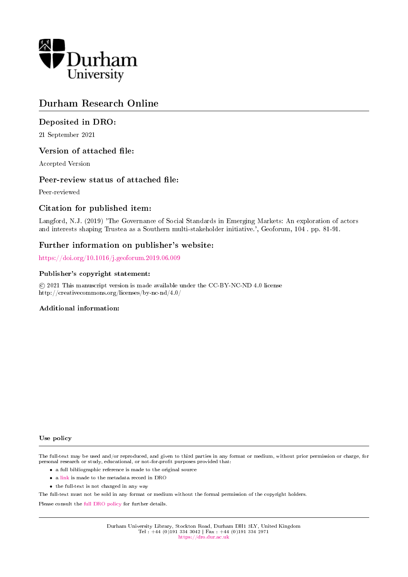

# Durham Research Online

# Deposited in DRO:

21 September 2021

# Version of attached file:

Accepted Version

# Peer-review status of attached file:

Peer-reviewed

# Citation for published item:

Langford, N.J. (2019) 'The Governance of Social Standards in Emerging Markets: An exploration of actors and interests shaping Trustea as a Southern multi-stakeholder initiative.', Geoforum, 104 . pp. 81-91.

# Further information on publisher's website:

<https://doi.org/10.1016/j.geoforum.2019.06.009>

# Publisher's copyright statement:

 c 2021 This manuscript version is made available under the CC-BY-NC-ND 4.0 license http://creativecommons.org/licenses/by-nc-nd/4.0/

# Additional information:

Use policy

The full-text may be used and/or reproduced, and given to third parties in any format or medium, without prior permission or charge, for personal research or study, educational, or not-for-profit purposes provided that:

- a full bibliographic reference is made to the original source
- a [link](http://dro.dur.ac.uk/33887/) is made to the metadata record in DRO
- the full-text is not changed in any way

The full-text must not be sold in any format or medium without the formal permission of the copyright holders.

Please consult the [full DRO policy](https://dro.dur.ac.uk/policies/usepolicy.pdf) for further details.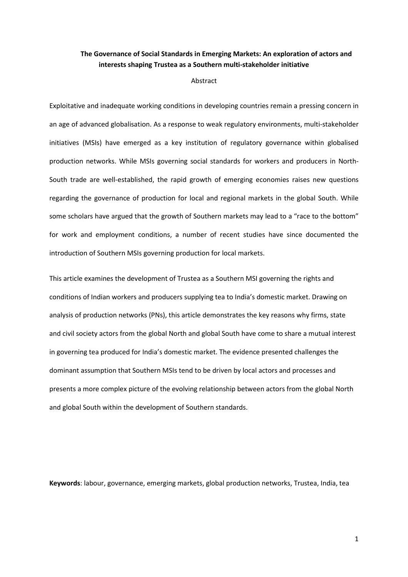# **The Governance of Social Standards in Emerging Markets: An exploration of actors and interests shaping Trustea as a Southern multi-stakeholder initiative**

#### Abstract

Exploitative and inadequate working conditions in developing countries remain a pressing concern in an age of advanced globalisation. As a response to weak regulatory environments, multi-stakeholder initiatives (MSIs) have emerged as a key institution of regulatory governance within globalised production networks. While MSIs governing social standards for workers and producers in North-South trade are well-established, the rapid growth of emerging economies raises new questions regarding the governance of production for local and regional markets in the global South. While some scholars have argued that the growth of Southern markets may lead to a "race to the bottom" for work and employment conditions, a number of recent studies have since documented the introduction of Southern MSIs governing production for local markets.

This article examines the development of Trustea as a Southern MSI governing the rights and conditions of Indian workers and producers supplying tea to India's domestic market. Drawing on analysis of production networks (PNs), this article demonstrates the key reasons why firms, state and civil society actors from the global North and global South have come to share a mutual interest in governing tea produced for India's domestic market. The evidence presented challenges the dominant assumption that Southern MSIs tend to be driven by local actors and processes and presents a more complex picture of the evolving relationship between actors from the global North and global South within the development of Southern standards.

**Keywords**: labour, governance, emerging markets, global production networks, Trustea, India, tea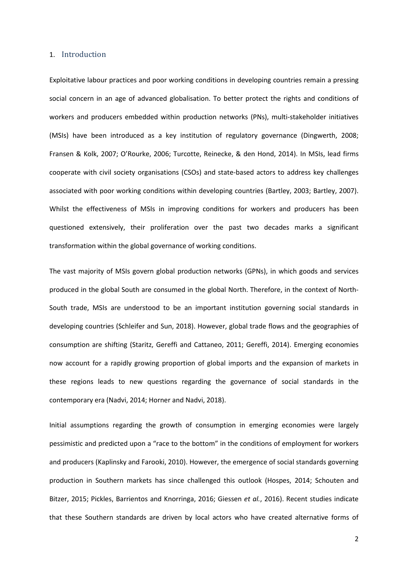# 1. Introduction

Exploitative labour practices and poor working conditions in developing countries remain a pressing social concern in an age of advanced globalisation. To better protect the rights and conditions of workers and producers embedded within production networks (PNs), multi-stakeholder initiatives (MSIs) have been introduced as a key institution of regulatory governance (Dingwerth, 2008; Fransen & Kolk, 2007; O'Rourke, 2006; Turcotte, Reinecke, & den Hond, 2014). In MSIs, lead firms cooperate with civil society organisations (CSOs) and state-based actors to address key challenges associated with poor working conditions within developing countries (Bartley, 2003; Bartley, 2007). Whilst the effectiveness of MSIs in improving conditions for workers and producers has been questioned extensively, their proliferation over the past two decades marks a significant transformation within the global governance of working conditions.

The vast majority of MSIs govern global production networks (GPNs), in which goods and services produced in the global South are consumed in the global North. Therefore, in the context of North-South trade, MSIs are understood to be an important institution governing social standards in developing countries (Schleifer and Sun, 2018). However, global trade flows and the geographies of consumption are shifting (Staritz, Gereffi and Cattaneo, 2011; Gereffi, 2014). Emerging economies now account for a rapidly growing proportion of global imports and the expansion of markets in these regions leads to new questions regarding the governance of social standards in the contemporary era (Nadvi, 2014; Horner and Nadvi, 2018).

Initial assumptions regarding the growth of consumption in emerging economies were largely pessimistic and predicted upon a "race to the bottom" in the conditions of employment for workers and producers (Kaplinsky and Farooki, 2010). However, the emergence of social standards governing production in Southern markets has since challenged this outlook (Hospes, 2014; Schouten and Bitzer, 2015; Pickles, Barrientos and Knorringa, 2016; Giessen *et al.*, 2016). Recent studies indicate that these Southern standards are driven by local actors who have created alternative forms of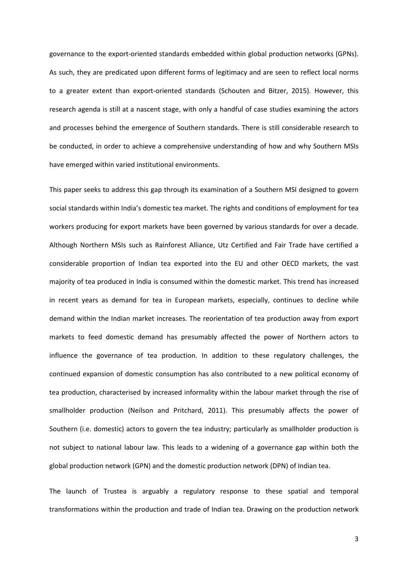governance to the export-oriented standards embedded within global production networks (GPNs). As such, they are predicated upon different forms of legitimacy and are seen to reflect local norms to a greater extent than export-oriented standards (Schouten and Bitzer, 2015). However, this research agenda is still at a nascent stage, with only a handful of case studies examining the actors and processes behind the emergence of Southern standards. There is still considerable research to be conducted, in order to achieve a comprehensive understanding of how and why Southern MSIs have emerged within varied institutional environments.

This paper seeks to address this gap through its examination of a Southern MSI designed to govern social standards within India's domestic tea market. The rights and conditions of employment for tea workers producing for export markets have been governed by various standards for over a decade. Although Northern MSIs such as Rainforest Alliance, Utz Certified and Fair Trade have certified a considerable proportion of Indian tea exported into the EU and other OECD markets, the vast majority of tea produced in India is consumed within the domestic market. This trend has increased in recent years as demand for tea in European markets, especially, continues to decline while demand within the Indian market increases. The reorientation of tea production away from export markets to feed domestic demand has presumably affected the power of Northern actors to influence the governance of tea production. In addition to these regulatory challenges, the continued expansion of domestic consumption has also contributed to a new political economy of tea production, characterised by increased informality within the labour market through the rise of smallholder production (Neilson and Pritchard, 2011). This presumably affects the power of Southern (i.e. domestic) actors to govern the tea industry; particularly as smallholder production is not subject to national labour law. This leads to a widening of a governance gap within both the global production network (GPN) and the domestic production network (DPN) of Indian tea.

The launch of Trustea is arguably a regulatory response to these spatial and temporal transformations within the production and trade of Indian tea. Drawing on the production network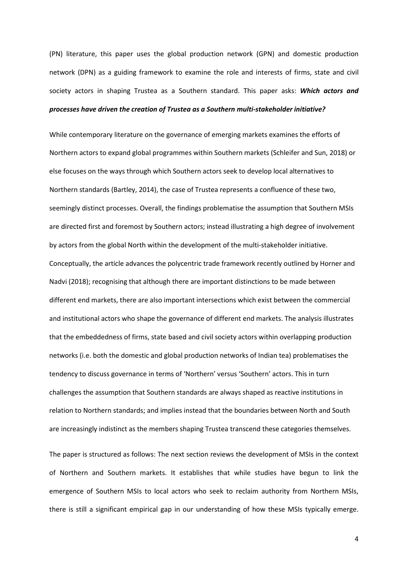(PN) literature, this paper uses the global production network (GPN) and domestic production network (DPN) as a guiding framework to examine the role and interests of firms, state and civil society actors in shaping Trustea as a Southern standard. This paper asks: *Which actors and processes have driven the creation of Trustea as a Southern multi-stakeholder initiative?* 

While contemporary literature on the governance of emerging markets examines the efforts of Northern actors to expand global programmes within Southern markets (Schleifer and Sun, 2018) or else focuses on the ways through which Southern actors seek to develop local alternatives to Northern standards (Bartley, 2014), the case of Trustea represents a confluence of these two, seemingly distinct processes. Overall, the findings problematise the assumption that Southern MSIs are directed first and foremost by Southern actors; instead illustrating a high degree of involvement by actors from the global North within the development of the multi-stakeholder initiative. Conceptually, the article advances the polycentric trade framework recently outlined by Horner and Nadvi (2018); recognising that although there are important distinctions to be made between different end markets, there are also important intersections which exist between the commercial and institutional actors who shape the governance of different end markets. The analysis illustrates that the embeddedness of firms, state based and civil society actors within overlapping production networks (i.e. both the domestic and global production networks of Indian tea) problematises the tendency to discuss governance in terms of 'Northern' versus 'Southern' actors. This in turn challenges the assumption that Southern standards are always shaped as reactive institutions in relation to Northern standards; and implies instead that the boundaries between North and South are increasingly indistinct as the members shaping Trustea transcend these categories themselves.

The paper is structured as follows: The next section reviews the development of MSIs in the context of Northern and Southern markets. It establishes that while studies have begun to link the emergence of Southern MSIs to local actors who seek to reclaim authority from Northern MSIs, there is still a significant empirical gap in our understanding of how these MSIs typically emerge.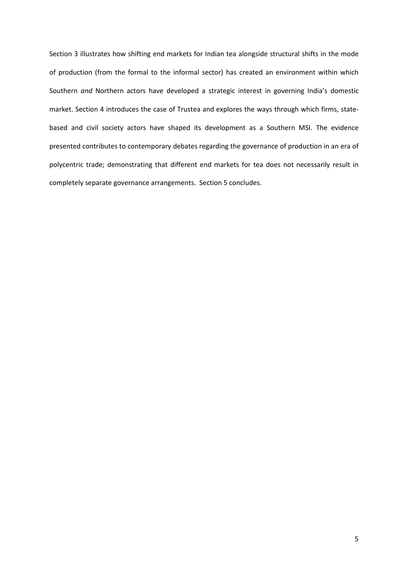Section 3 illustrates how shifting end markets for Indian tea alongside structural shifts in the mode of production (from the formal to the informal sector) has created an environment within which Southern *and* Northern actors have developed a strategic interest in governing India's domestic market. Section 4 introduces the case of Trustea and explores the ways through which firms, statebased and civil society actors have shaped its development as a Southern MSI. The evidence presented contributes to contemporary debates regarding the governance of production in an era of polycentric trade; demonstrating that different end markets for tea does not necessarily result in completely separate governance arrangements. Section 5 concludes.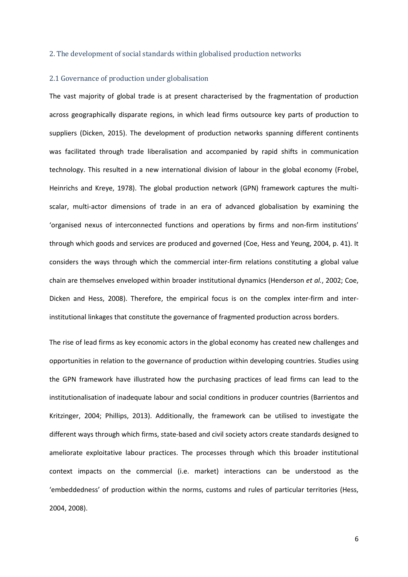#### 2. The development of social standards within globalised production networks

## 2.1 Governance of production under globalisation

The vast majority of global trade is at present characterised by the fragmentation of production across geographically disparate regions, in which lead firms outsource key parts of production to suppliers (Dicken, 2015). The development of production networks spanning different continents was facilitated through trade liberalisation and accompanied by rapid shifts in communication technology. This resulted in a new international division of labour in the global economy (Frobel, Heinrichs and Kreye, 1978). The global production network (GPN) framework captures the multiscalar, multi-actor dimensions of trade in an era of advanced globalisation by examining the 'organised nexus of interconnected functions and operations by firms and non-firm institutions' through which goods and services are produced and governed (Coe, Hess and Yeung, 2004, p. 41). It considers the ways through which the commercial inter-firm relations constituting a global value chain are themselves enveloped within broader institutional dynamics (Henderson *et al.*, 2002; Coe, Dicken and Hess, 2008). Therefore, the empirical focus is on the complex inter-firm and interinstitutional linkages that constitute the governance of fragmented production across borders.

The rise of lead firms as key economic actors in the global economy has created new challenges and opportunities in relation to the governance of production within developing countries. Studies using the GPN framework have illustrated how the purchasing practices of lead firms can lead to the institutionalisation of inadequate labour and social conditions in producer countries (Barrientos and Kritzinger, 2004; Phillips, 2013). Additionally, the framework can be utilised to investigate the different ways through which firms, state-based and civil society actors create standards designed to ameliorate exploitative labour practices. The processes through which this broader institutional context impacts on the commercial (i.e. market) interactions can be understood as the 'embeddedness' of production within the norms, customs and rules of particular territories (Hess, 2004, 2008).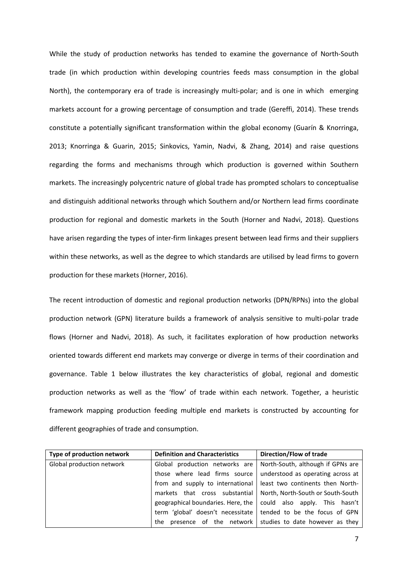While the study of production networks has tended to examine the governance of North-South trade (in which production within developing countries feeds mass consumption in the global North), the contemporary era of trade is increasingly multi-polar; and is one in which emerging markets account for a growing percentage of consumption and trade (Gereffi, 2014). These trends constitute a potentially significant transformation within the global economy (Guarín & Knorringa, 2013; Knorringa & Guarin, 2015; Sinkovics, Yamin, Nadvi, & Zhang, 2014) and raise questions regarding the forms and mechanisms through which production is governed within Southern markets. The increasingly polycentric nature of global trade has prompted scholars to conceptualise and distinguish additional networks through which Southern and/or Northern lead firms coordinate production for regional and domestic markets in the South (Horner and Nadvi, 2018). Questions have arisen regarding the types of inter-firm linkages present between lead firms and their suppliers within these networks, as well as the degree to which standards are utilised by lead firms to govern production for these markets (Horner, 2016).

The recent introduction of domestic and regional production networks (DPN/RPNs) into the global production network (GPN) literature builds a framework of analysis sensitive to multi-polar trade flows (Horner and Nadvi, 2018). As such, it facilitates exploration of how production networks oriented towards different end markets may converge or diverge in terms of their coordination and governance. Table 1 below illustrates the key characteristics of global, regional and domestic production networks as well as the 'flow' of trade within each network. Together, a heuristic framework mapping production feeding multiple end markets is constructed by accounting for different geographies of trade and consumption.

| Type of production network | <b>Definition and Characteristics</b>                               | Direction/Flow of trade           |
|----------------------------|---------------------------------------------------------------------|-----------------------------------|
| Global production network  | Global production networks are                                      | North-South, although if GPNs are |
|                            | those where lead firms source                                       | understood as operating across at |
|                            | from and supply to international   least two continents then North- |                                   |
|                            | markets that cross substantial                                      | North, North-South or South-South |
|                            | geographical boundaries. Here, the                                  | could also apply. This hasn't     |
|                            | term 'global' doesn't necessitate   tended to be the focus of GPN   |                                   |
|                            | the presence of the network studies to date however as they         |                                   |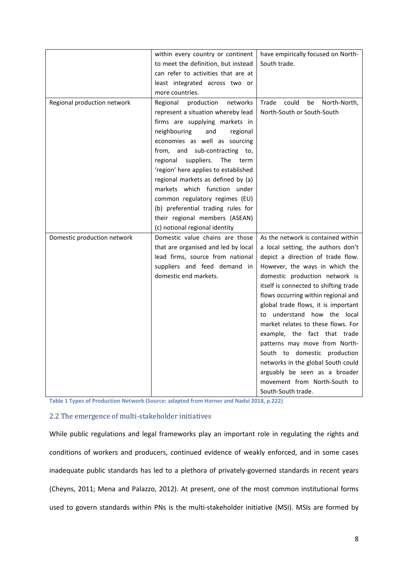|                             | within every country or continent    | have empirically focused on North-    |
|-----------------------------|--------------------------------------|---------------------------------------|
|                             | to meet the definition, but instead  | South trade.                          |
|                             | can refer to activities that are at  |                                       |
|                             | least integrated across two or       |                                       |
|                             | more countries.                      |                                       |
|                             |                                      |                                       |
| Regional production network | Regional<br>production<br>networks   | could<br>Trade<br>be<br>North-North,  |
|                             | represent a situation whereby lead   | North-South or South-South            |
|                             | firms are supplying markets in       |                                       |
|                             | neighbouring<br>and<br>regional      |                                       |
|                             | economies as well as sourcing        |                                       |
|                             | from, and sub-contracting to,        |                                       |
|                             | regional suppliers.<br>The<br>term   |                                       |
|                             | 'region' here applies to established |                                       |
|                             | regional markets as defined by (a)   |                                       |
|                             | markets which function under         |                                       |
|                             | common regulatory regimes (EU)       |                                       |
|                             | (b) preferential trading rules for   |                                       |
|                             | their regional members (ASEAN)       |                                       |
|                             | (c) notional regional identity       |                                       |
| Domestic production network | Domestic value chains are those      | As the network is contained within    |
|                             | that are organised and led by local  | a local setting, the authors don't    |
|                             | lead firms, source from national     | depict a direction of trade flow.     |
|                             | suppliers and feed demand in         | However, the ways in which the        |
|                             | domestic end markets.                | domestic production network is        |
|                             |                                      | itself is connected to shifting trade |
|                             |                                      | flows occurring within regional and   |
|                             |                                      | global trade flows, it is important   |
|                             |                                      | to understand how the local           |
|                             |                                      | market relates to these flows. For    |
|                             |                                      | example, the fact that trade          |
|                             |                                      | patterns may move from North-         |
|                             |                                      | South to domestic production          |
|                             |                                      | networks in the global South could    |
|                             |                                      | arguably be seen as a broader         |
|                             |                                      | movement from North-South to          |
|                             |                                      | South-South trade.                    |
|                             |                                      |                                       |

**Table 1 Types of Production Network (Source: adapted from Horner and Nadvi 2018, p.222)**

# 2.2 The emergence of multi-stakeholder initiatives

While public regulations and legal frameworks play an important role in regulating the rights and conditions of workers and producers, continued evidence of weakly enforced, and in some cases inadequate public standards has led to a plethora of privately-governed standards in recent years (Cheyns, 2011; Mena and Palazzo, 2012). At present, one of the most common institutional forms used to govern standards within PNs is the multi-stakeholder initiative (MSI). MSIs are formed by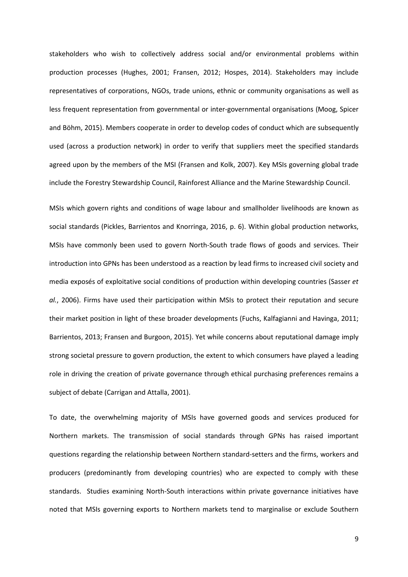stakeholders who wish to collectively address social and/or environmental problems within production processes (Hughes, 2001; Fransen, 2012; Hospes, 2014). Stakeholders may include representatives of corporations, NGOs, trade unions, ethnic or community organisations as well as less frequent representation from governmental or inter-governmental organisations (Moog, Spicer and Böhm, 2015). Members cooperate in order to develop codes of conduct which are subsequently used (across a production network) in order to verify that suppliers meet the specified standards agreed upon by the members of the MSI (Fransen and Kolk, 2007). Key MSIs governing global trade include the Forestry Stewardship Council, Rainforest Alliance and the Marine Stewardship Council.

MSIs which govern rights and conditions of wage labour and smallholder livelihoods are known as social standards (Pickles, Barrientos and Knorringa, 2016, p. 6). Within global production networks, MSIs have commonly been used to govern North-South trade flows of goods and services. Their introduction into GPNs has been understood as a reaction by lead firms to increased civil society and media exposés of exploitative social conditions of production within developing countries (Sasser *et al.*, 2006). Firms have used their participation within MSIs to protect their reputation and secure their market position in light of these broader developments (Fuchs, Kalfagianni and Havinga, 2011; Barrientos, 2013; Fransen and Burgoon, 2015). Yet while concerns about reputational damage imply strong societal pressure to govern production, the extent to which consumers have played a leading role in driving the creation of private governance through ethical purchasing preferences remains a subject of debate (Carrigan and Attalla, 2001).

To date, the overwhelming majority of MSIs have governed goods and services produced for Northern markets. The transmission of social standards through GPNs has raised important questions regarding the relationship between Northern standard-setters and the firms, workers and producers (predominantly from developing countries) who are expected to comply with these standards. Studies examining North-South interactions within private governance initiatives have noted that MSIs governing exports to Northern markets tend to marginalise or exclude Southern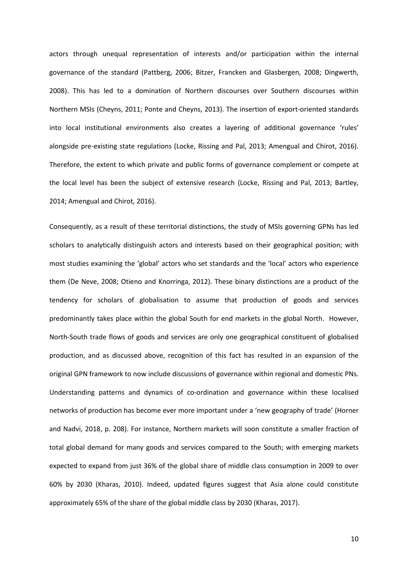actors through unequal representation of interests and/or participation within the internal governance of the standard (Pattberg, 2006; Bitzer, Francken and Glasbergen, 2008; Dingwerth, 2008). This has led to a domination of Northern discourses over Southern discourses within Northern MSIs (Cheyns, 2011; Ponte and Cheyns, 2013). The insertion of export-oriented standards into local institutional environments also creates a layering of additional governance 'rules' alongside pre-existing state regulations (Locke, Rissing and Pal, 2013; Amengual and Chirot, 2016). Therefore, the extent to which private and public forms of governance complement or compete at the local level has been the subject of extensive research (Locke, Rissing and Pal, 2013; Bartley, 2014; Amengual and Chirot, 2016).

Consequently, as a result of these territorial distinctions, the study of MSIs governing GPNs has led scholars to analytically distinguish actors and interests based on their geographical position; with most studies examining the 'global' actors who set standards and the 'local' actors who experience them (De Neve, 2008; Otieno and Knorringa, 2012). These binary distinctions are a product of the tendency for scholars of globalisation to assume that production of goods and services predominantly takes place within the global South for end markets in the global North. However, North-South trade flows of goods and services are only one geographical constituent of globalised production, and as discussed above, recognition of this fact has resulted in an expansion of the original GPN framework to now include discussions of governance within regional and domestic PNs. Understanding patterns and dynamics of co-ordination and governance within these localised networks of production has become ever more important under a 'new geography of trade' (Horner and Nadvi, 2018, p. 208). For instance, Northern markets will soon constitute a smaller fraction of total global demand for many goods and services compared to the South; with emerging markets expected to expand from just 36% of the global share of middle class consumption in 2009 to over 60% by 2030 (Kharas, 2010). Indeed, updated figures suggest that Asia alone could constitute approximately 65% of the share of the global middle class by 2030 (Kharas, 2017).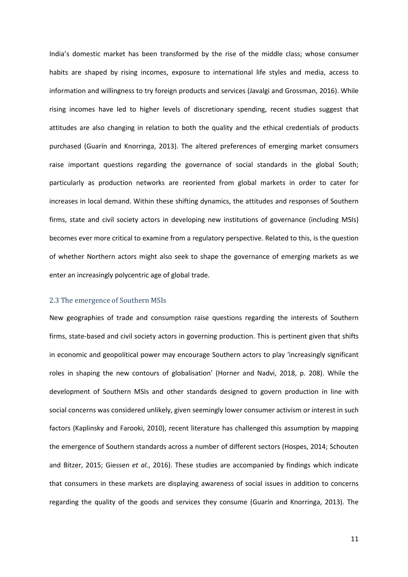India's domestic market has been transformed by the rise of the middle class; whose consumer habits are shaped by rising incomes, exposure to international life styles and media, access to information and willingness to try foreign products and services (Javalgi and Grossman, 2016). While rising incomes have led to higher levels of discretionary spending, recent studies suggest that attitudes are also changing in relation to both the quality and the ethical credentials of products purchased (Guarín and Knorringa, 2013). The altered preferences of emerging market consumers raise important questions regarding the governance of social standards in the global South; particularly as production networks are reoriented from global markets in order to cater for increases in local demand. Within these shifting dynamics, the attitudes and responses of Southern firms, state and civil society actors in developing new institutions of governance (including MSIs) becomes ever more critical to examine from a regulatory perspective. Related to this, is the question of whether Northern actors might also seek to shape the governance of emerging markets as we enter an increasingly polycentric age of global trade.

## 2.3 The emergence of Southern MSIs

New geographies of trade and consumption raise questions regarding the interests of Southern firms, state-based and civil society actors in governing production. This is pertinent given that shifts in economic and geopolitical power may encourage Southern actors to play 'increasingly significant roles in shaping the new contours of globalisation' (Horner and Nadvi, 2018, p. 208). While the development of Southern MSIs and other standards designed to govern production in line with social concerns was considered unlikely, given seemingly lower consumer activism or interest in such factors (Kaplinsky and Farooki, 2010), recent literature has challenged this assumption by mapping the emergence of Southern standards across a number of different sectors (Hospes, 2014; Schouten and Bitzer, 2015; Giessen *et al.*, 2016). These studies are accompanied by findings which indicate that consumers in these markets are displaying awareness of social issues in addition to concerns regarding the quality of the goods and services they consume (Guarín and Knorringa, 2013). The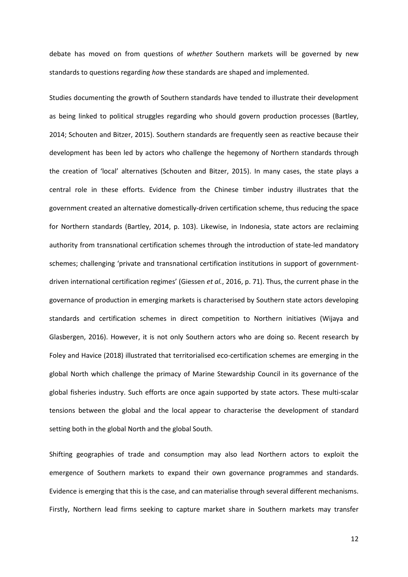debate has moved on from questions of *whether* Southern markets will be governed by new standards to questions regarding *how* these standards are shaped and implemented.

Studies documenting the growth of Southern standards have tended to illustrate their development as being linked to political struggles regarding who should govern production processes (Bartley, 2014; Schouten and Bitzer, 2015). Southern standards are frequently seen as reactive because their development has been led by actors who challenge the hegemony of Northern standards through the creation of 'local' alternatives (Schouten and Bitzer, 2015). In many cases, the state plays a central role in these efforts. Evidence from the Chinese timber industry illustrates that the government created an alternative domestically-driven certification scheme, thus reducing the space for Northern standards (Bartley, 2014, p. 103). Likewise, in Indonesia, state actors are reclaiming authority from transnational certification schemes through the introduction of state-led mandatory schemes; challenging 'private and transnational certification institutions in support of governmentdriven international certification regimes' (Giessen *et al.*, 2016, p. 71). Thus, the current phase in the governance of production in emerging markets is characterised by Southern state actors developing standards and certification schemes in direct competition to Northern initiatives (Wijaya and Glasbergen, 2016). However, it is not only Southern actors who are doing so. Recent research by Foley and Havice (2018) illustrated that territorialised eco-certification schemes are emerging in the global North which challenge the primacy of Marine Stewardship Council in its governance of the global fisheries industry. Such efforts are once again supported by state actors. These multi-scalar tensions between the global and the local appear to characterise the development of standard setting both in the global North and the global South.

Shifting geographies of trade and consumption may also lead Northern actors to exploit the emergence of Southern markets to expand their own governance programmes and standards. Evidence is emerging that this is the case, and can materialise through several different mechanisms. Firstly, Northern lead firms seeking to capture market share in Southern markets may transfer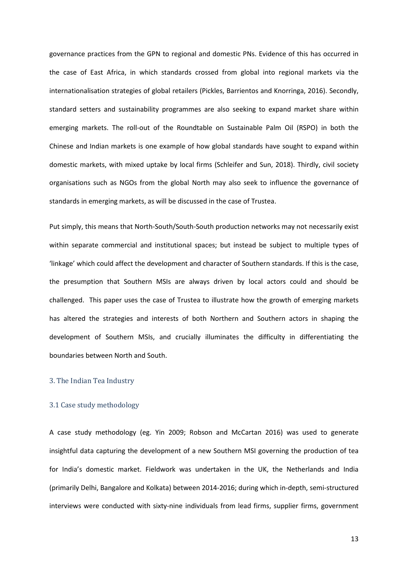governance practices from the GPN to regional and domestic PNs. Evidence of this has occurred in the case of East Africa, in which standards crossed from global into regional markets via the internationalisation strategies of global retailers (Pickles, Barrientos and Knorringa, 2016). Secondly, standard setters and sustainability programmes are also seeking to expand market share within emerging markets. The roll-out of the Roundtable on Sustainable Palm Oil (RSPO) in both the Chinese and Indian markets is one example of how global standards have sought to expand within domestic markets, with mixed uptake by local firms (Schleifer and Sun, 2018). Thirdly, civil society organisations such as NGOs from the global North may also seek to influence the governance of standards in emerging markets, as will be discussed in the case of Trustea.

Put simply, this means that North-South/South-South production networks may not necessarily exist within separate commercial and institutional spaces; but instead be subject to multiple types of 'linkage' which could affect the development and character of Southern standards. If this is the case, the presumption that Southern MSIs are always driven by local actors could and should be challenged. This paper uses the case of Trustea to illustrate how the growth of emerging markets has altered the strategies and interests of both Northern and Southern actors in shaping the development of Southern MSIs, and crucially illuminates the difficulty in differentiating the boundaries between North and South.

### 3. The Indian Tea Industry

## 3.1 Case study methodology

A case study methodology (eg. Yin 2009; Robson and McCartan 2016) was used to generate insightful data capturing the development of a new Southern MSI governing the production of tea for India's domestic market. Fieldwork was undertaken in the UK, the Netherlands and India (primarily Delhi, Bangalore and Kolkata) between 2014-2016; during which in-depth, semi-structured interviews were conducted with sixty-nine individuals from lead firms, supplier firms, government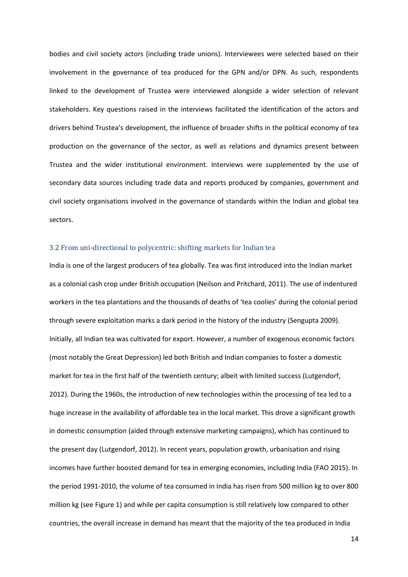bodies and civil society actors (including trade unions). Interviewees were selected based on their involvement in the governance of tea produced for the GPN and/or DPN. As such, respondents linked to the development of Trustea were interviewed alongside a wider selection of relevant stakeholders. Key questions raised in the interviews facilitated the identification of the actors and drivers behind Trustea's development, the influence of broader shifts in the political economy of tea production on the governance of the sector, as well as relations and dynamics present between Trustea and the wider institutional environment. Interviews were supplemented by the use of secondary data sources including trade data and reports produced by companies, government and civil society organisations involved in the governance of standards within the Indian and global tea sectors.

### 3.2 From uni-directional to polycentric: shifting markets for Indian tea

India is one of the largest producers of tea globally. Tea was first introduced into the Indian market as a colonial cash crop under British occupation (Neilson and Pritchard, 2011). The use of indentured workers in the tea plantations and the thousands of deaths of 'tea coolies' during the colonial period through severe exploitation marks a dark period in the history of the industry (Sengupta 2009). Initially, all Indian tea was cultivated for export. However, a number of exogenous economic factors (most notably the Great Depression) led both British and Indian companies to foster a domestic market for tea in the first half of the twentieth century; albeit with limited success (Lutgendorf, 2012). During the 1960s, the introduction of new technologies within the processing of tea led to a huge increase in the availability of affordable tea in the local market. This drove a significant growth in domestic consumption (aided through extensive marketing campaigns), which has continued to the present day (Lutgendorf, 2012). In recent years, population growth, urbanisation and rising incomes have further boosted demand for tea in emerging economies, including India (FAO 2015). In the period 1991-2010, the volume of tea consumed in India has risen from 500 million kg to over 800 million kg (see Figure 1) and while per capita consumption is still relatively low compared to other countries, the overall increase in demand has meant that the majority of the tea produced in India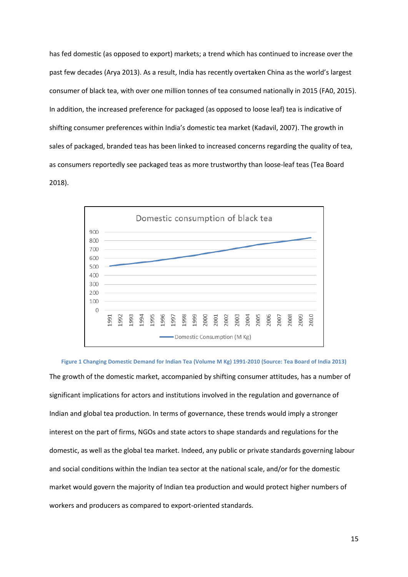has fed domestic (as opposed to export) markets; a trend which has continued to increase over the past few decades (Arya 2013). As a result, India has recently overtaken China as the world's largest consumer of black tea, with over one million tonnes of tea consumed nationally in 2015 (FA0, 2015). In addition, the increased preference for packaged (as opposed to loose leaf) tea is indicative of shifting consumer preferences within India's domestic tea market (Kadavil, 2007). The growth in sales of packaged, branded teas has been linked to increased concerns regarding the quality of tea, as consumers reportedly see packaged teas as more trustworthy than loose-leaf teas (Tea Board 2018).



#### **Figure 1 Changing Domestic Demand for Indian Tea (Volume M Kg) 1991-2010 (Source: Tea Board of India 2013)**

The growth of the domestic market, accompanied by shifting consumer attitudes, has a number of significant implications for actors and institutions involved in the regulation and governance of Indian and global tea production. In terms of governance, these trends would imply a stronger interest on the part of firms, NGOs and state actors to shape standards and regulations for the domestic, as well as the global tea market. Indeed, any public or private standards governing labour and social conditions within the Indian tea sector at the national scale, and/or for the domestic market would govern the majority of Indian tea production and would protect higher numbers of workers and producers as compared to export-oriented standards.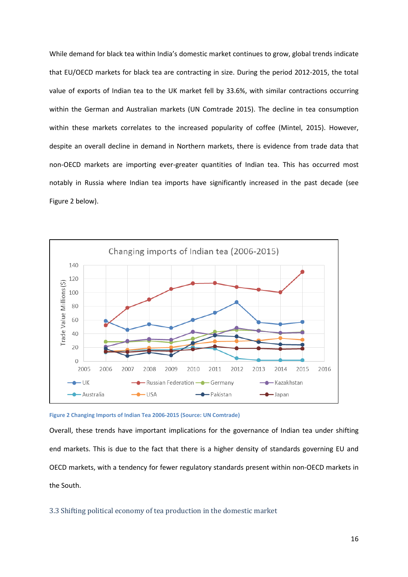While demand for black tea within India's domestic market continues to grow, global trends indicate that EU/OECD markets for black tea are contracting in size. During the period 2012-2015, the total value of exports of Indian tea to the UK market fell by 33.6%, with similar contractions occurring within the German and Australian markets (UN Comtrade 2015). The decline in tea consumption within these markets correlates to the increased popularity of coffee (Mintel, 2015). However, despite an overall decline in demand in Northern markets, there is evidence from trade data that non-OECD markets are importing ever-greater quantities of Indian tea. This has occurred most notably in Russia where Indian tea imports have significantly increased in the past decade (see Figure 2 below).





Overall, these trends have important implications for the governance of Indian tea under shifting end markets. This is due to the fact that there is a higher density of standards governing EU and OECD markets, with a tendency for fewer regulatory standards present within non-OECD markets in the South.

3.3 Shifting political economy of tea production in the domestic market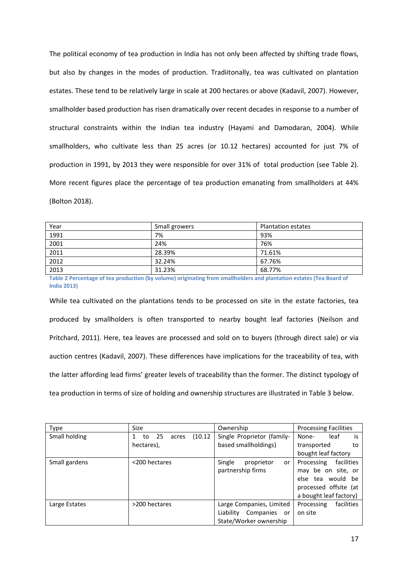The political economy of tea production in India has not only been affected by shifting trade flows, but also by changes in the modes of production. Tradiitonally, tea was cultivated on plantation estates. These tend to be relatively large in scale at 200 hectares or above (Kadavil, 2007). However, smallholder based production has risen dramatically over recent decades in response to a number of structural constraints within the Indian tea industry (Hayami and Damodaran, 2004). While smallholders, who cultivate less than 25 acres (or 10.12 hectares) accounted for just 7% of production in 1991, by 2013 they were responsible for over 31% of total production (see Table 2). More recent figures place the percentage of tea production emanating from smallholders at 44% (Bolton 2018).

| Year | Small growers | <b>Plantation estates</b> |
|------|---------------|---------------------------|
| 1991 | 7%            | 93%                       |
| 2001 | 24%           | 76%                       |
| 2011 | 28.39%        | 71.61%                    |
| 2012 | 32.24%        | 67.76%                    |
| 2013 | 31.23%        | 68.77%                    |

**Table 2 Percentage of tea production (by volume) originating from smallholders and plantation estates (Tea Board of India 2013)**

While tea cultivated on the plantations tends to be processed on site in the estate factories, tea produced by smallholders is often transported to nearby bought leaf factories (Neilson and Pritchard, 2011). Here, tea leaves are processed and sold on to buyers (through direct sale) or via auction centres (Kadavil, 2007). These differences have implications for the traceability of tea, with the latter affording lead firms' greater levels of traceability than the former. The distinct typology of tea production in terms of size of holding and ownership structures are illustrated in Table 3 below.

| <b>Type</b>   | <b>Size</b>                  | Ownership                  | <b>Processing Facilities</b> |
|---------------|------------------------------|----------------------------|------------------------------|
| Small holding | (10.12)<br>25<br>to<br>acres | Single Proprietor (family- | leaf<br>None-<br>is          |
|               | hectares),                   | based smallholdings)       | transported<br>to            |
|               |                              |                            | bought leaf factory          |
| Small gardens | <200 hectares                | Single<br>proprietor<br>or | facilities<br>Processing     |
|               |                              | partnership firms          | may be on site, or           |
|               |                              |                            | else tea would be            |
|               |                              |                            | processed offsite (at        |
|               |                              |                            | a bought leaf factory)       |
| Large Estates | >200 hectares                | Large Companies, Limited   | facilities<br>Processing     |
|               |                              | Liability<br>Companies or  | on site                      |
|               |                              | State/Worker ownership     |                              |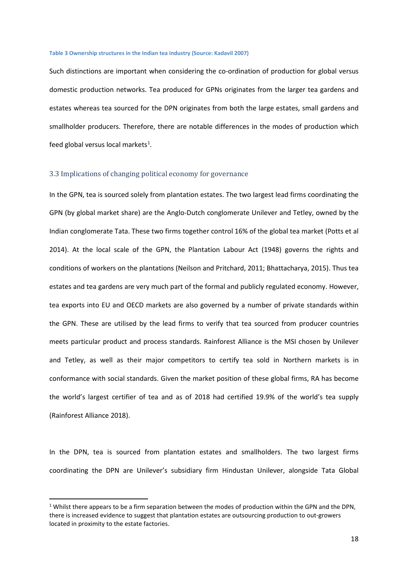#### **Table 3 Ownership structures in the Indian tea industry (Source: Kadavil 2007)**

Such distinctions are important when considering the co-ordination of production for global versus domestic production networks. Tea produced for GPNs originates from the larger tea gardens and estates whereas tea sourced for the DPN originates from both the large estates, small gardens and smallholder producers. Therefore, there are notable differences in the modes of production which feed global versus local markets $^1$ .

### 3.3 Implications of changing political economy for governance

In the GPN, tea is sourced solely from plantation estates. The two largest lead firms coordinating the GPN (by global market share) are the Anglo-Dutch conglomerate Unilever and Tetley, owned by the Indian conglomerate Tata. These two firms together control 16% of the global tea market (Potts et al 2014). At the local scale of the GPN, the Plantation Labour Act (1948) governs the rights and conditions of workers on the plantations (Neilson and Pritchard, 2011; Bhattacharya, 2015). Thus tea estates and tea gardens are very much part of the formal and publicly regulated economy. However, tea exports into EU and OECD markets are also governed by a number of private standards within the GPN. These are utilised by the lead firms to verify that tea sourced from producer countries meets particular product and process standards. Rainforest Alliance is the MSI chosen by Unilever and Tetley, as well as their major competitors to certify tea sold in Northern markets is in conformance with social standards. Given the market position of these global firms, RA has become the world's largest certifier of tea and as of 2018 had certified 19.9% of the world's tea supply (Rainforest Alliance 2018).

In the DPN, tea is sourced from plantation estates and smallholders. The two largest firms coordinating the DPN are Unilever's subsidiary firm Hindustan Unilever, alongside Tata Global

<span id="page-18-0"></span> $1$  Whilst there appears to be a firm separation between the modes of production within the GPN and the DPN, there is increased evidence to suggest that plantation estates are outsourcing production to out-growers located in proximity to the estate factories.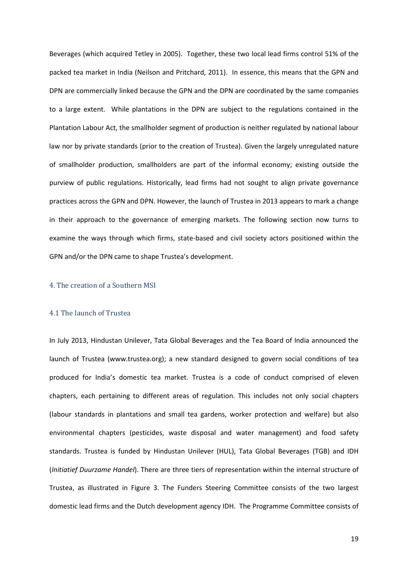Beverages (which acquired Tetley in 2005). Together, these two local lead firms control 51% of the packed tea market in India (Neilson and Pritchard, 2011). In essence, this means that the GPN and DPN are commercially linked because the GPN and the DPN are coordinated by the same companies to a large extent. While plantations in the DPN are subject to the regulations contained in the Plantation Labour Act, the smallholder segment of production is neither regulated by national labour law nor by private standards (prior to the creation of Trustea). Given the largely unregulated nature of smallholder production, smallholders are part of the informal economy; existing outside the purview of public regulations. Historically, lead firms had not sought to align private governance practices across the GPN and DPN. However, the launch of Trustea in 2013 appears to mark a change in their approach to the governance of emerging markets. The following section now turns to examine the ways through which firms, state-based and civil society actors positioned within the GPN and/or the DPN came to shape Trustea's development.

# 4. The creation of a Southern MSI

### 4.1 The launch of Trustea

In July 2013, Hindustan Unilever, Tata Global Beverages and the Tea Board of India announced the launch of Trustea (www.trustea.org); a new standard designed to govern social conditions of tea produced for India's domestic tea market. Trustea is a code of conduct comprised of eleven chapters, each pertaining to different areas of regulation. This includes not only social chapters (labour standards in plantations and small tea gardens, worker protection and welfare) but also environmental chapters (pesticides, waste disposal and water management) and food safety standards. Trustea is funded by Hindustan Unilever (HUL), Tata Global Beverages (TGB) and IDH (*Initiatief Duurzame Handel*). There are three tiers of representation within the internal structure of Trustea, as illustrated in Figure 3. The Funders Steering Committee consists of the two largest domestic lead firms and the Dutch development agency IDH. The Programme Committee consists of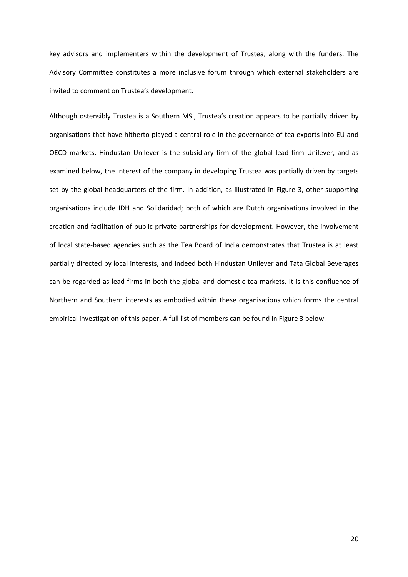key advisors and implementers within the development of Trustea, along with the funders. The Advisory Committee constitutes a more inclusive forum through which external stakeholders are invited to comment on Trustea's development.

Although ostensibly Trustea is a Southern MSI, Trustea's creation appears to be partially driven by organisations that have hitherto played a central role in the governance of tea exports into EU and OECD markets. Hindustan Unilever is the subsidiary firm of the global lead firm Unilever, and as examined below, the interest of the company in developing Trustea was partially driven by targets set by the global headquarters of the firm. In addition, as illustrated in Figure 3, other supporting organisations include IDH and Solidaridad; both of which are Dutch organisations involved in the creation and facilitation of public-private partnerships for development. However, the involvement of local state-based agencies such as the Tea Board of India demonstrates that Trustea is at least partially directed by local interests, and indeed both Hindustan Unilever and Tata Global Beverages can be regarded as lead firms in both the global and domestic tea markets. It is this confluence of Northern and Southern interests as embodied within these organisations which forms the central empirical investigation of this paper. A full list of members can be found in Figure 3 below: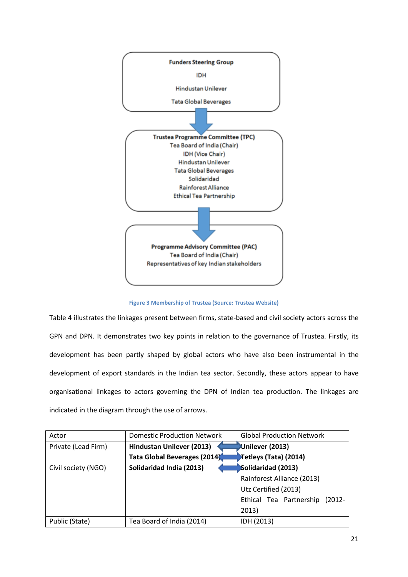

**Figure 3 Membership of Trustea (Source: Trustea Website)**

Table 4 illustrates the linkages present between firms, state-based and civil society actors across the GPN and DPN. It demonstrates two key points in relation to the governance of Trustea. Firstly, its development has been partly shaped by global actors who have also been instrumental in the development of export standards in the Indian tea sector. Secondly, these actors appear to have organisational linkages to actors governing the DPN of Indian tea production. The linkages are indicated in the diagram through the use of arrows.

| Actor               | <b>Domestic Production Network</b>  | <b>Global Production Network</b>     |
|---------------------|-------------------------------------|--------------------------------------|
| Private (Lead Firm) | Hindustan Unilever (2013)           | Unilever (2013)                      |
|                     | <b>Tata Global Beverages (2014)</b> | Tetleys (Tata) (2014)                |
| Civil society (NGO) | Solidaridad India (2013)            | Solidaridad (2013)                   |
|                     |                                     | Rainforest Alliance (2013)           |
|                     |                                     | Utz Certified (2013)                 |
|                     |                                     | Ethical Tea Partnership<br>$(2012 -$ |
|                     |                                     | 2013)                                |
| Public (State)      | Tea Board of India (2014)           | IDH (2013)                           |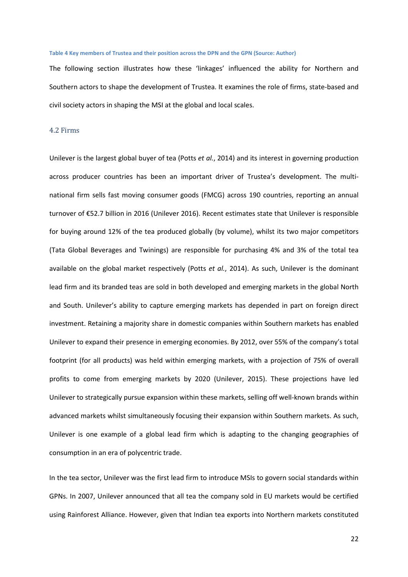#### **Table 4 Key members of Trustea and their position across the DPN and the GPN (Source: Author)**

The following section illustrates how these 'linkages' influenced the ability for Northern and Southern actors to shape the development of Trustea. It examines the role of firms, state-based and civil society actors in shaping the MSI at the global and local scales.

#### 4.2 Firms

Unilever is the largest global buyer of tea (Potts *et al.*, 2014) and its interest in governing production across producer countries has been an important driver of Trustea's development. The multinational firm sells fast moving consumer goods (FMCG) across 190 countries, reporting an annual turnover of €52.7 billion in 2016 (Unilever 2016). Recent estimates state that Unilever is responsible for buying around 12% of the tea produced globally (by volume), whilst its two major competitors (Tata Global Beverages and Twinings) are responsible for purchasing 4% and 3% of the total tea available on the global market respectively (Potts *et al.*, 2014). As such, Unilever is the dominant lead firm and its branded teas are sold in both developed and emerging markets in the global North and South. Unilever's ability to capture emerging markets has depended in part on foreign direct investment. Retaining a majority share in domestic companies within Southern markets has enabled Unilever to expand their presence in emerging economies. By 2012, over 55% of the company's total footprint (for all products) was held within emerging markets, with a projection of 75% of overall profits to come from emerging markets by 2020 (Unilever, 2015). These projections have led Unilever to strategically pursue expansion within these markets, selling off well-known brands within advanced markets whilst simultaneously focusing their expansion within Southern markets. As such, Unilever is one example of a global lead firm which is adapting to the changing geographies of consumption in an era of polycentric trade.

In the tea sector, Unilever was the first lead firm to introduce MSIs to govern social standards within GPNs. In 2007, Unilever announced that all tea the company sold in EU markets would be certified using Rainforest Alliance. However, given that Indian tea exports into Northern markets constituted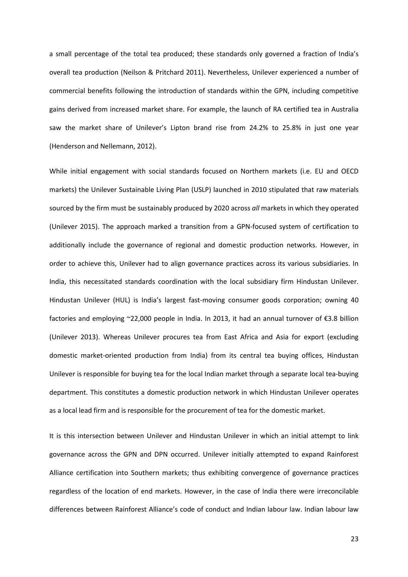a small percentage of the total tea produced; these standards only governed a fraction of India's overall tea production (Neilson & Pritchard 2011). Nevertheless, Unilever experienced a number of commercial benefits following the introduction of standards within the GPN, including competitive gains derived from increased market share. For example, the launch of RA certified tea in Australia saw the market share of Unilever's Lipton brand rise from 24.2% to 25.8% in just one year (Henderson and Nellemann, 2012).

While initial engagement with social standards focused on Northern markets (i.e. EU and OECD markets) the Unilever Sustainable Living Plan (USLP) launched in 2010 stipulated that raw materials sourced by the firm must be sustainably produced by 2020 across *all* markets in which they operated (Unilever 2015). The approach marked a transition from a GPN-focused system of certification to additionally include the governance of regional and domestic production networks. However, in order to achieve this, Unilever had to align governance practices across its various subsidiaries. In India, this necessitated standards coordination with the local subsidiary firm Hindustan Unilever. Hindustan Unilever (HUL) is India's largest fast-moving consumer goods corporation; owning 40 factories and employing ~22,000 people in India. In 2013, it had an annual turnover of €3.8 billion (Unilever 2013). Whereas Unilever procures tea from East Africa and Asia for export (excluding domestic market-oriented production from India) from its central tea buying offices, Hindustan Unilever is responsible for buying tea for the local Indian market through a separate local tea-buying department. This constitutes a domestic production network in which Hindustan Unilever operates as a local lead firm and is responsible for the procurement of tea for the domestic market.

It is this intersection between Unilever and Hindustan Unilever in which an initial attempt to link governance across the GPN and DPN occurred. Unilever initially attempted to expand Rainforest Alliance certification into Southern markets; thus exhibiting convergence of governance practices regardless of the location of end markets. However, in the case of India there were irreconcilable differences between Rainforest Alliance's code of conduct and Indian labour law. Indian labour law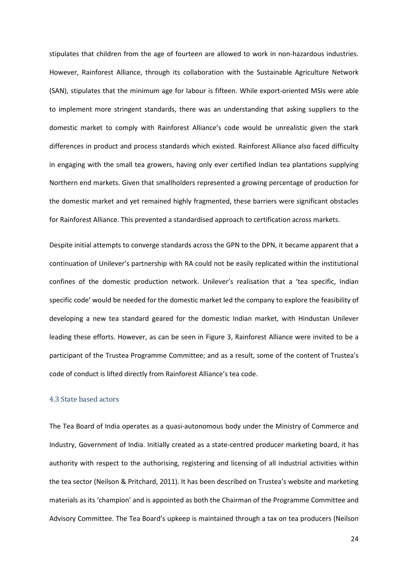stipulates that children from the age of fourteen are allowed to work in non-hazardous industries. However, Rainforest Alliance, through its collaboration with the Sustainable Agriculture Network (SAN), stipulates that the minimum age for labour is fifteen. While export-oriented MSIs were able to implement more stringent standards, there was an understanding that asking suppliers to the domestic market to comply with Rainforest Alliance's code would be unrealistic given the stark differences in product and process standards which existed. Rainforest Alliance also faced difficulty in engaging with the small tea growers, having only ever certified Indian tea plantations supplying Northern end markets. Given that smallholders represented a growing percentage of production for the domestic market and yet remained highly fragmented, these barriers were significant obstacles for Rainforest Alliance. This prevented a standardised approach to certification across markets.

Despite initial attempts to converge standards across the GPN to the DPN, it became apparent that a continuation of Unilever's partnership with RA could not be easily replicated within the institutional confines of the domestic production network. Unilever's realisation that a 'tea specific, Indian specific code' would be needed for the domestic market led the company to explore the feasibility of developing a new tea standard geared for the domestic Indian market, with Hindustan Unilever leading these efforts. However, as can be seen in Figure 3, Rainforest Alliance were invited to be a participant of the Trustea Programme Committee; and as a result, some of the content of Trustea's code of conduct is lifted directly from Rainforest Alliance's tea code.

## 4.3 State based actors

The Tea Board of India operates as a quasi-autonomous body under the Ministry of Commerce and Industry, Government of India. Initially created as a state-centred producer marketing board, it has authority with respect to the authorising, registering and licensing of all industrial activities within the tea sector (Neilson & Pritchard, 2011). It has been described on Trustea's website and marketing materials as its 'champion' and is appointed as both the Chairman of the Programme Committee and Advisory Committee. The Tea Board's upkeep is maintained through a tax on tea producers (Neilson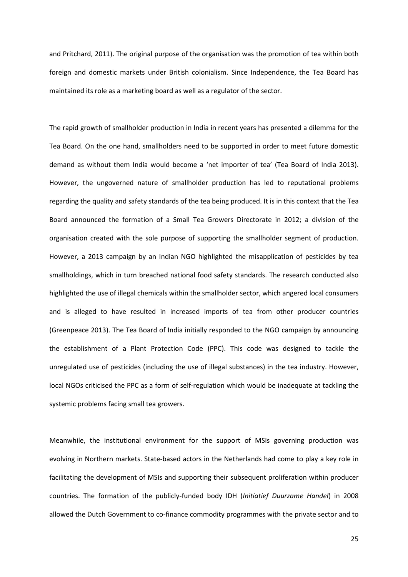and Pritchard, 2011). The original purpose of the organisation was the promotion of tea within both foreign and domestic markets under British colonialism. Since Independence, the Tea Board has maintained its role as a marketing board as well as a regulator of the sector.

The rapid growth of smallholder production in India in recent years has presented a dilemma for the Tea Board. On the one hand, smallholders need to be supported in order to meet future domestic demand as without them India would become a 'net importer of tea' (Tea Board of India 2013). However, the ungoverned nature of smallholder production has led to reputational problems regarding the quality and safety standards of the tea being produced. It is in this context that the Tea Board announced the formation of a Small Tea Growers Directorate in 2012; a division of the organisation created with the sole purpose of supporting the smallholder segment of production. However, a 2013 campaign by an Indian NGO highlighted the misapplication of pesticides by tea smallholdings, which in turn breached national food safety standards. The research conducted also highlighted the use of illegal chemicals within the smallholder sector, which angered local consumers and is alleged to have resulted in increased imports of tea from other producer countries (Greenpeace 2013). The Tea Board of India initially responded to the NGO campaign by announcing the establishment of a Plant Protection Code (PPC). This code was designed to tackle the unregulated use of pesticides (including the use of illegal substances) in the tea industry. However, local NGOs criticised the PPC as a form of self-regulation which would be inadequate at tackling the systemic problems facing small tea growers.

Meanwhile, the institutional environment for the support of MSIs governing production was evolving in Northern markets. State-based actors in the Netherlands had come to play a key role in facilitating the development of MSIs and supporting their subsequent proliferation within producer countries. The formation of the publicly-funded body IDH (*Initiatief Duurzame Handel*) in 2008 allowed the Dutch Government to co-finance commodity programmes with the private sector and to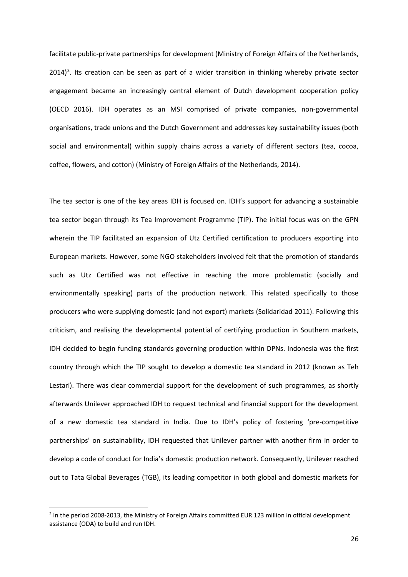facilitate public-private partnerships for development (Ministry of Foreign Affairs of the Netherlands,  $2014$  $2014$ <sup>2</sup>. Its creation can be seen as part of a wider transition in thinking whereby private sector engagement became an increasingly central element of Dutch development cooperation policy (OECD 2016). IDH operates as an MSI comprised of private companies, non-governmental organisations, trade unions and the Dutch Government and addresses key sustainability issues (both social and environmental) within supply chains across a variety of different sectors (tea, cocoa, coffee, flowers, and cotton) (Ministry of Foreign Affairs of the Netherlands, 2014).

The tea sector is one of the key areas IDH is focused on. IDH's support for advancing a sustainable tea sector began through its Tea Improvement Programme (TIP). The initial focus was on the GPN wherein the TIP facilitated an expansion of Utz Certified certification to producers exporting into European markets. However, some NGO stakeholders involved felt that the promotion of standards such as Utz Certified was not effective in reaching the more problematic (socially and environmentally speaking) parts of the production network. This related specifically to those producers who were supplying domestic (and not export) markets (Solidaridad 2011). Following this criticism, and realising the developmental potential of certifying production in Southern markets, IDH decided to begin funding standards governing production within DPNs. Indonesia was the first country through which the TIP sought to develop a domestic tea standard in 2012 (known as Teh Lestari). There was clear commercial support for the development of such programmes, as shortly afterwards Unilever approached IDH to request technical and financial support for the development of a new domestic tea standard in India. Due to IDH's policy of fostering 'pre-competitive partnerships' on sustainability, IDH requested that Unilever partner with another firm in order to develop a code of conduct for India's domestic production network. Consequently, Unilever reached out to Tata Global Beverages (TGB), its leading competitor in both global and domestic markets for

<span id="page-26-0"></span><sup>&</sup>lt;sup>2</sup> In the period 2008-2013, the Ministry of Foreign Affairs committed EUR 123 million in official development assistance (ODA) to build and run IDH.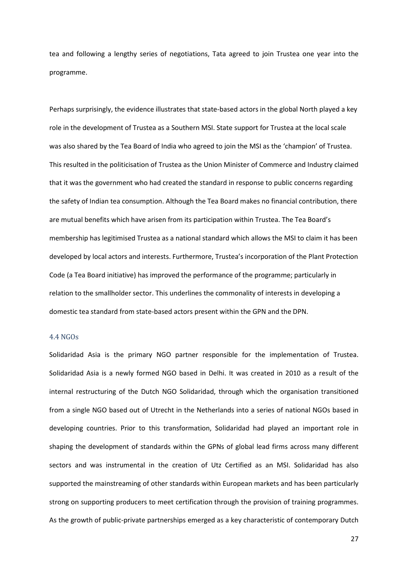tea and following a lengthy series of negotiations, Tata agreed to join Trustea one year into the programme.

Perhaps surprisingly, the evidence illustrates that state-based actors in the global North played a key role in the development of Trustea as a Southern MSI. State support for Trustea at the local scale was also shared by the Tea Board of India who agreed to join the MSI as the 'champion' of Trustea. This resulted in the politicisation of Trustea as the Union Minister of Commerce and Industry claimed that it was the government who had created the standard in response to public concerns regarding the safety of Indian tea consumption. Although the Tea Board makes no financial contribution, there are mutual benefits which have arisen from its participation within Trustea. The Tea Board's membership has legitimised Trustea as a national standard which allows the MSI to claim it has been developed by local actors and interests. Furthermore, Trustea's incorporation of the Plant Protection Code (a Tea Board initiative) has improved the performance of the programme; particularly in relation to the smallholder sector. This underlines the commonality of interests in developing a domestic tea standard from state-based actors present within the GPN and the DPN.

## $4.4$  NGOs

Solidaridad Asia is the primary NGO partner responsible for the implementation of Trustea. Solidaridad Asia is a newly formed NGO based in Delhi. It was created in 2010 as a result of the internal restructuring of the Dutch NGO Solidaridad, through which the organisation transitioned from a single NGO based out of Utrecht in the Netherlands into a series of national NGOs based in developing countries. Prior to this transformation, Solidaridad had played an important role in shaping the development of standards within the GPNs of global lead firms across many different sectors and was instrumental in the creation of Utz Certified as an MSI. Solidaridad has also supported the mainstreaming of other standards within European markets and has been particularly strong on supporting producers to meet certification through the provision of training programmes. As the growth of public-private partnerships emerged as a key characteristic of contemporary Dutch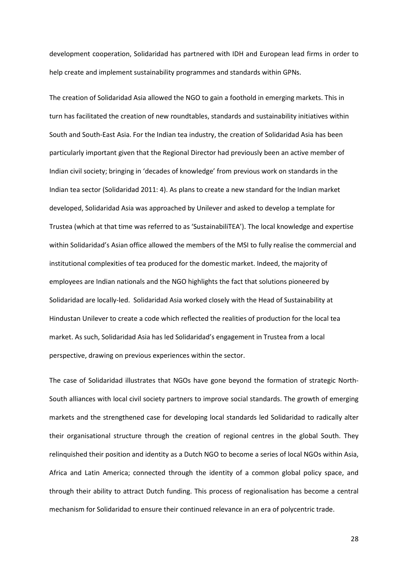development cooperation, Solidaridad has partnered with IDH and European lead firms in order to help create and implement sustainability programmes and standards within GPNs.

The creation of Solidaridad Asia allowed the NGO to gain a foothold in emerging markets. This in turn has facilitated the creation of new roundtables, standards and sustainability initiatives within South and South-East Asia. For the Indian tea industry, the creation of Solidaridad Asia has been particularly important given that the Regional Director had previously been an active member of Indian civil society; bringing in 'decades of knowledge' from previous work on standards in the Indian tea sector (Solidaridad 2011: 4). As plans to create a new standard for the Indian market developed, Solidaridad Asia was approached by Unilever and asked to develop a template for Trustea (which at that time was referred to as 'SustainabiliTEA'). The local knowledge and expertise within Solidaridad's Asian office allowed the members of the MSI to fully realise the commercial and institutional complexities of tea produced for the domestic market. Indeed, the majority of employees are Indian nationals and the NGO highlights the fact that solutions pioneered by Solidaridad are locally-led. Solidaridad Asia worked closely with the Head of Sustainability at Hindustan Unilever to create a code which reflected the realities of production for the local tea market. As such, Solidaridad Asia has led Solidaridad's engagement in Trustea from a local perspective, drawing on previous experiences within the sector.

The case of Solidaridad illustrates that NGOs have gone beyond the formation of strategic North-South alliances with local civil society partners to improve social standards. The growth of emerging markets and the strengthened case for developing local standards led Solidaridad to radically alter their organisational structure through the creation of regional centres in the global South. They relinquished their position and identity as a Dutch NGO to become a series of local NGOs within Asia, Africa and Latin America; connected through the identity of a common global policy space, and through their ability to attract Dutch funding. This process of regionalisation has become a central mechanism for Solidaridad to ensure their continued relevance in an era of polycentric trade.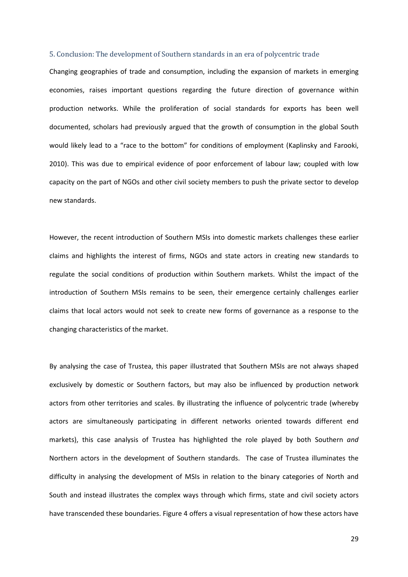## 5. Conclusion: The development of Southern standards in an era of polycentric trade

Changing geographies of trade and consumption, including the expansion of markets in emerging economies, raises important questions regarding the future direction of governance within production networks. While the proliferation of social standards for exports has been well documented, scholars had previously argued that the growth of consumption in the global South would likely lead to a "race to the bottom" for conditions of employment (Kaplinsky and Farooki, 2010). This was due to empirical evidence of poor enforcement of labour law; coupled with low capacity on the part of NGOs and other civil society members to push the private sector to develop new standards.

However, the recent introduction of Southern MSIs into domestic markets challenges these earlier claims and highlights the interest of firms, NGOs and state actors in creating new standards to regulate the social conditions of production within Southern markets. Whilst the impact of the introduction of Southern MSIs remains to be seen, their emergence certainly challenges earlier claims that local actors would not seek to create new forms of governance as a response to the changing characteristics of the market.

By analysing the case of Trustea, this paper illustrated that Southern MSIs are not always shaped exclusively by domestic or Southern factors, but may also be influenced by production network actors from other territories and scales. By illustrating the influence of polycentric trade (whereby actors are simultaneously participating in different networks oriented towards different end markets), this case analysis of Trustea has highlighted the role played by both Southern *and* Northern actors in the development of Southern standards. The case of Trustea illuminates the difficulty in analysing the development of MSIs in relation to the binary categories of North and South and instead illustrates the complex ways through which firms, state and civil society actors have transcended these boundaries. Figure 4 offers a visual representation of how these actors have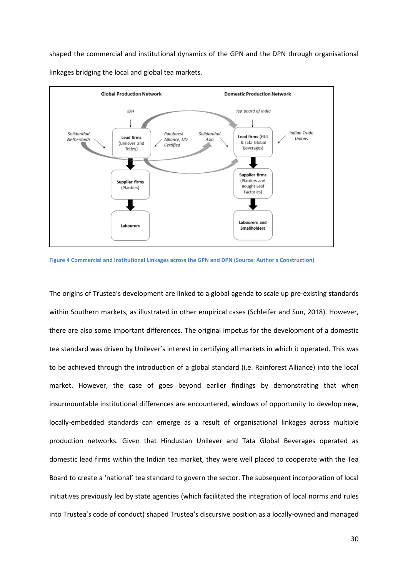shaped the commercial and institutional dynamics of the GPN and the DPN through organisational linkages bridging the local and global tea markets.



**Figure 4 Commercial and Institutional Linkages across the GPN and DPN (Source: Author's Construction)**

The origins of Trustea's development are linked to a global agenda to scale up pre-existing standards within Southern markets, as illustrated in other empirical cases (Schleifer and Sun, 2018). However, there are also some important differences. The original impetus for the development of a domestic tea standard was driven by Unilever's interest in certifying all markets in which it operated. This was to be achieved through the introduction of a global standard (i.e. Rainforest Alliance) into the local market. However, the case of goes beyond earlier findings by demonstrating that when insurmountable institutional differences are encountered, windows of opportunity to develop new, locally-embedded standards can emerge as a result of organisational linkages across multiple production networks. Given that Hindustan Unilever and Tata Global Beverages operated as domestic lead firms within the Indian tea market, they were well placed to cooperate with the Tea Board to create a 'national' tea standard to govern the sector. The subsequent incorporation of local initiatives previously led by state agencies (which facilitated the integration of local norms and rules into Trustea's code of conduct) shaped Trustea's discursive position as a locally-owned and managed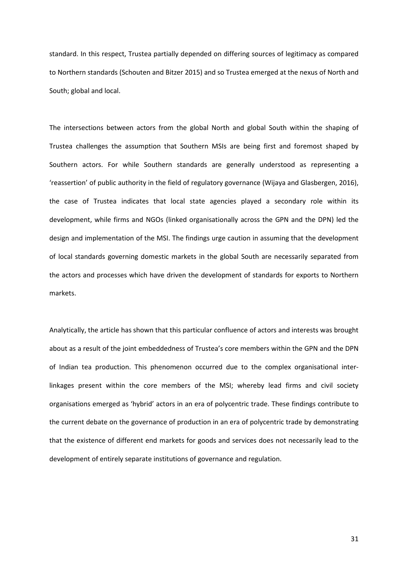standard. In this respect, Trustea partially depended on differing sources of legitimacy as compared to Northern standards (Schouten and Bitzer 2015) and so Trustea emerged at the nexus of North and South; global and local.

The intersections between actors from the global North and global South within the shaping of Trustea challenges the assumption that Southern MSIs are being first and foremost shaped by Southern actors. For while Southern standards are generally understood as representing a 'reassertion' of public authority in the field of regulatory governance (Wijaya and Glasbergen, 2016), the case of Trustea indicates that local state agencies played a secondary role within its development, while firms and NGOs (linked organisationally across the GPN and the DPN) led the design and implementation of the MSI. The findings urge caution in assuming that the development of local standards governing domestic markets in the global South are necessarily separated from the actors and processes which have driven the development of standards for exports to Northern markets.

Analytically, the article has shown that this particular confluence of actors and interests was brought about as a result of the joint embeddedness of Trustea's core members within the GPN and the DPN of Indian tea production. This phenomenon occurred due to the complex organisational interlinkages present within the core members of the MSI; whereby lead firms and civil society organisations emerged as 'hybrid' actors in an era of polycentric trade. These findings contribute to the current debate on the governance of production in an era of polycentric trade by demonstrating that the existence of different end markets for goods and services does not necessarily lead to the development of entirely separate institutions of governance and regulation.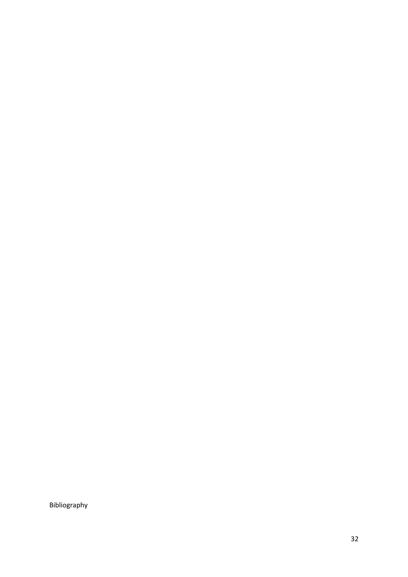Bibliography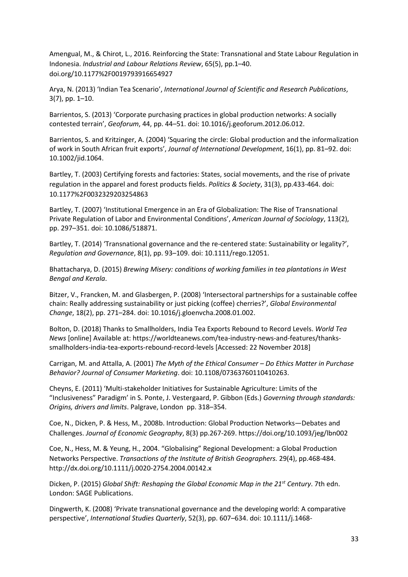Amengual, M., & Chirot, L., 2016. Reinforcing the State: Transnational and State Labour Regulation in Indonesia. *Industrial and Labour Relations Review*, 65(5), pp.1–40. doi.org/10.1177%2F0019793916654927

Arya, N. (2013) 'Indian Tea Scenario', *International Journal of Scientific and Research Publications*, 3(7), pp. 1–10.

Barrientos, S. (2013) 'Corporate purchasing practices in global production networks: A socially contested terrain', *Geoforum*, 44, pp. 44–51. doi: 10.1016/j.geoforum.2012.06.012.

Barrientos, S. and Kritzinger, A. (2004) 'Squaring the circle: Global production and the informalization of work in South African fruit exports', *Journal of International Development*, 16(1), pp. 81–92. doi: 10.1002/jid.1064.

Bartley, T. (2003) Certifying forests and factories: States, social movements, and the rise of private regulation in the apparel and forest products fields. *Politics & Society*, 31(3), pp.433-464. doi: 10.1177%2F0032329203254863

Bartley, T. (2007) 'Institutional Emergence in an Era of Globalization: The Rise of Transnational Private Regulation of Labor and Environmental Conditions', *American Journal of Sociology*, 113(2), pp. 297–351. doi: 10.1086/518871.

Bartley, T. (2014) 'Transnational governance and the re-centered state: Sustainability or legality?', *Regulation and Governance*, 8(1), pp. 93–109. doi: 10.1111/rego.12051.

Bhattacharya, D. (2015) *Brewing Misery: conditions of working families in tea plantations in West Bengal and Kerala*.

Bitzer, V., Francken, M. and Glasbergen, P. (2008) 'Intersectoral partnerships for a sustainable coffee chain: Really addressing sustainability or just picking (coffee) cherries?', *Global Environmental Change*, 18(2), pp. 271–284. doi: 10.1016/j.gloenvcha.2008.01.002.

Bolton, D. (2018) Thanks to Smallholders, India Tea Exports Rebound to Record Levels. *World Tea News* [online] Available at: https://worldteanews.com/tea-industry-news-and-features/thankssmallholders-india-tea-exports-rebound-record-levels [Accessed: 22 November 2018]

Carrigan, M. and Attalla, A. (2001) *The Myth of the Ethical Consumer – Do Ethics Matter in Purchase Behavior? Journal of Consumer Marketing*. doi: 10.1108/07363760110410263.

Cheyns, E. (2011) 'Multi-stakeholder Initiatives for Sustainable Agriculture: Limits of the "Inclusiveness" Paradigm' in S. Ponte, J. Vestergaard, P. Gibbon (Eds.) *Governing through standards: Origins, drivers and limits*. Palgrave, London pp. 318–354.

Coe, N., Dicken, P. & Hess, M., 2008b. Introduction: Global Production Networks—Debates and Challenges. *Journal of Economic Geography*, 8(3) pp.267-269. https://doi.org/10.1093/jeg/lbn002

Coe, N., Hess, M. & Yeung, H., 2004. "Globalising" Regional Development: a Global Production Networks Perspective. *Transactions of the Institute of British Geographers.* 29(4), pp.468-484. http://dx.doi.org/10.1111/j.0020-2754.2004.00142.x

Dicken, P. (2015) *Global Shift: Reshaping the Global Economic Map in the 21st Century*. 7th edn. London: SAGE Publications.

Dingwerth, K. (2008) 'Private transnational governance and the developing world: A comparative perspective', *International Studies Quarterly*, 52(3), pp. 607–634. doi: 10.1111/j.1468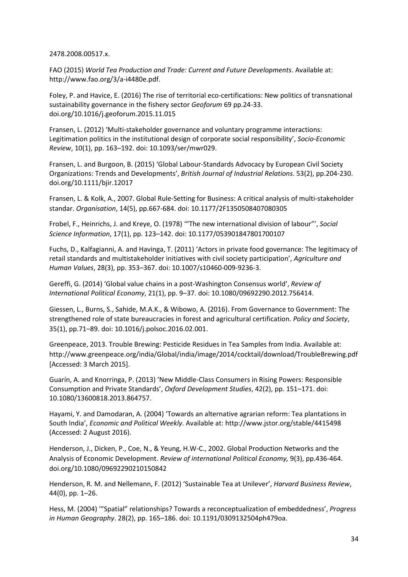2478.2008.00517.x.

FAO (2015) *World Tea Production and Trade: Current and Future Developments*. Available at: http://www.fao.org/3/a-i4480e.pdf.

Foley, P. and Havice, E. (2016) The rise of territorial eco-certifications: New politics of transnational sustainability governance in the fishery sector *Geoforum* 69 pp.24-33. doi.org/10.1016/j.geoforum.2015.11.015

Fransen, L. (2012) 'Multi-stakeholder governance and voluntary programme interactions: Legitimation politics in the institutional design of corporate social responsibility', *Socio-Economic Review*, 10(1), pp. 163–192. doi: 10.1093/ser/mwr029.

Fransen, L. and Burgoon, B. (2015) 'Global Labour-Standards Advocacy by European Civil Society Organizations: Trends and Developments', *British Journal of Industrial Relations*. 53(2), pp.204-230. doi.org/10.1111/bjir.12017

Fransen, L. & Kolk, A., 2007. Global Rule-Setting for Business: A critical analysis of multi-stakeholder standar. *Organisation*, 14(5), pp.667-684. doi: 10.1177/2F1350508407080305

Frobel, F., Heinrichs, J. and Kreye, O. (1978) '"The new international division of labour"', *Social Science Information*, 17(1), pp. 123–142. doi: 10.1177/053901847801700107

Fuchs, D., Kalfagianni, A. and Havinga, T. (2011) 'Actors in private food governance: The legitimacy of retail standards and multistakeholder initiatives with civil society participation', *Agriculture and Human Values*, 28(3), pp. 353–367. doi: 10.1007/s10460-009-9236-3.

Gereffi, G. (2014) 'Global value chains in a post-Washington Consensus world', *Review of International Political Economy*, 21(1), pp. 9–37. doi: 10.1080/09692290.2012.756414.

Giessen, L., Burns, S., Sahide, M.A.K., & Wibowo, A. (2016). From Governance to Government: The strengthened role of state bureaucracies in forest and agricultural certification. *Policy and Society*, 35(1), pp.71–89. doi: 10.1016/j.polsoc.2016.02.001.

Greenpeace, 2013. Trouble Brewing: Pesticide Residues in Tea Samples from India. Available at: http://www.greenpeace.org/india/Global/india/image/2014/cocktail/download/TroubleBrewing.pdf [Accessed: 3 March 2015].

Guarín, A. and Knorringa, P. (2013) 'New Middle-Class Consumers in Rising Powers: Responsible Consumption and Private Standards', *Oxford Development Studies*, 42(2), pp. 151–171. doi: 10.1080/13600818.2013.864757.

Hayami, Y. and Damodaran, A. (2004) 'Towards an alternative agrarian reform: Tea plantations in South India', *Economic and Political Weekly*. Available at: http://www.jstor.org/stable/4415498 (Accessed: 2 August 2016).

Henderson, J., Dicken, P., Coe, N., & Yeung, H.W-C., 2002. Global Production Networks and the Analysis of Economic Development. *Review of international Political Economy,* 9(3), pp.436-464. doi.org/10.1080/09692290210150842

Henderson, R. M. and Nellemann, F. (2012) 'Sustainable Tea at Unilever', *Harvard Business Review*, 44(0), pp. 1–26.

Hess, M. (2004) '"Spatial" relationships? Towards a reconceptualization of embeddedness', *Progress in Human Geography*. 28(2), pp. 165–186. doi: 10.1191/0309132504ph479oa.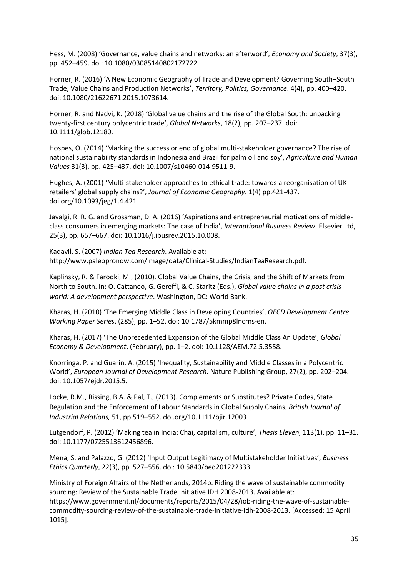Hess, M. (2008) 'Governance, value chains and networks: an afterword', *Economy and Society*, 37(3), pp. 452–459. doi: 10.1080/03085140802172722.

Horner, R. (2016) 'A New Economic Geography of Trade and Development? Governing South–South Trade, Value Chains and Production Networks', *Territory, Politics, Governance*. 4(4), pp. 400–420. doi: 10.1080/21622671.2015.1073614.

Horner, R. and Nadvi, K. (2018) 'Global value chains and the rise of the Global South: unpacking twenty-first century polycentric trade', *Global Networks*, 18(2), pp. 207–237. doi: 10.1111/glob.12180.

Hospes, O. (2014) 'Marking the success or end of global multi-stakeholder governance? The rise of national sustainability standards in Indonesia and Brazil for palm oil and soy', *Agriculture and Human Values* 31(3), pp. 425–437. doi: 10.1007/s10460-014-9511-9.

Hughes, A. (2001) 'Multi-stakeholder approaches to ethical trade: towards a reorganisation of UK retailers' global supply chains?', *Journal of Economic Geography*. 1(4) pp.421-437. doi.org/10.1093/jeg/1.4.421

Javalgi, R. R. G. and Grossman, D. A. (2016) 'Aspirations and entrepreneurial motivations of middleclass consumers in emerging markets: The case of India', *International Business Review*. Elsevier Ltd, 25(3), pp. 657–667. doi: 10.1016/j.ibusrev.2015.10.008.

Kadavil, S. (2007) *Indian Tea Research*. Available at: http://www.paleopronow.com/image/data/Clinical-Studies/IndianTeaResearch.pdf.

Kaplinsky, R. & Farooki, M., (2010). Global Value Chains, the Crisis, and the Shift of Markets from North to South. In: O. Cattaneo, G. Gereffi, & C. Staritz (Eds.), *Global value chains in a post crisis world: A development perspective*. Washington, DC: World Bank.

Kharas, H. (2010) 'The Emerging Middle Class in Developing Countries', *OECD Development Centre Working Paper Series*, (285), pp. 1–52. doi: 10.1787/5kmmp8lncrns-en.

Kharas, H. (2017) 'The Unprecedented Expansion of the Global Middle Class An Update', *Global Economy & Development*, (February), pp. 1–2. doi: 10.1128/AEM.72.5.3558.

Knorringa, P. and Guarin, A. (2015) 'Inequality, Sustainability and Middle Classes in a Polycentric World', *European Journal of Development Research*. Nature Publishing Group, 27(2), pp. 202–204. doi: 10.1057/ejdr.2015.5.

Locke, R.M., Rissing, B.A. & Pal, T., (2013). Complements or Substitutes? Private Codes, State Regulation and the Enforcement of Labour Standards in Global Supply Chains, *British Journal of Industrial Relations,* 51, pp.519–552. doi.org/10.1111/bjir.12003

Lutgendorf, P. (2012) 'Making tea in India: Chai, capitalism, culture', *Thesis Eleven*, 113(1), pp. 11–31. doi: 10.1177/0725513612456896.

Mena, S. and Palazzo, G. (2012) 'Input Output Legitimacy of Multistakeholder Initiatives', *Business Ethics Quarterly*, 22(3), pp. 527–556. doi: 10.5840/beq201222333.

Ministry of Foreign Affairs of the Netherlands, 2014b. Riding the wave of sustainable commodity sourcing: Review of the Sustainable Trade Initiative IDH 2008-2013. Available at: https://www.government.nl/documents/reports/2015/04/28/iob-riding-the-wave-of-sustainablecommodity-sourcing-review-of-the-sustainable-trade-initiative-idh-2008-2013. [Accessed: 15 April 1015].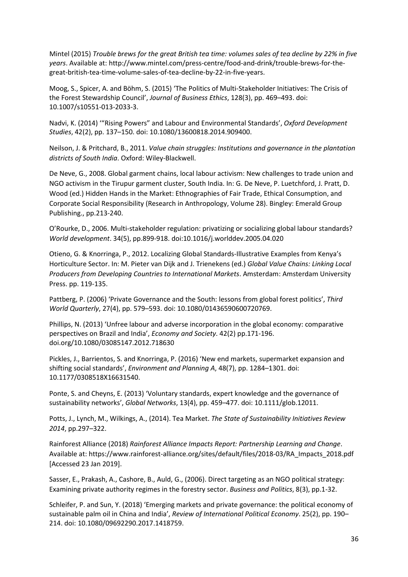Mintel (2015) *Trouble brews for the great British tea time: volumes sales of tea decline by 22% in five years*. Available at: http://www.mintel.com/press-centre/food-and-drink/trouble-brews-for-thegreat-british-tea-time-volume-sales-of-tea-decline-by-22-in-five-years.

Moog, S., Spicer, A. and Böhm, S. (2015) 'The Politics of Multi-Stakeholder Initiatives: The Crisis of the Forest Stewardship Council', *Journal of Business Ethics*, 128(3), pp. 469–493. doi: 10.1007/s10551-013-2033-3.

Nadvi, K. (2014) '"Rising Powers" and Labour and Environmental Standards', *Oxford Development Studies*, 42(2), pp. 137–150. doi: 10.1080/13600818.2014.909400.

Neilson, J. & Pritchard, B., 2011. *Value chain struggles: Institutions and governance in the plantation districts of South India*. Oxford: Wiley-Blackwell.

De Neve, G., 2008. Global garment chains, local labour activism: New challenges to trade union and NGO activism in the Tirupur garment cluster, South India. In: G. De Neve, P. Luetchford, J. Pratt, D. Wood (ed.) Hidden Hands in the Market: Ethnographies of Fair Trade, Ethical Consumption, and Corporate Social Responsibility (Research in Anthropology, Volume 28). Bingley: Emerald Group Publishing., pp.213-240.

O'Rourke, D., 2006. Multi-stakeholder regulation: privatizing or socializing global labour standards? *World development*. 34(5), pp.899-918. doi:10.1016/j.worlddev.2005.04.020

Otieno, G. & Knorringa, P., 2012. Localizing Global Standards-Illustrative Examples from Kenya's Horticulture Sector. In: M. Pieter van Dijk and J. Trienekens (ed.) *Global Value Chains: Linking Local Producers from Developing Countries to International Markets*. Amsterdam: Amsterdam University Press. pp. 119-135.

Pattberg, P. (2006) 'Private Governance and the South: lessons from global forest politics', *Third World Quarterly*, 27(4), pp. 579–593. doi: 10.1080/01436590600720769.

Phillips, N. (2013) 'Unfree labour and adverse incorporation in the global economy: comparative perspectives on Brazil and India', *Economy and Society*. 42(2) pp.171-196. doi.org/10.1080/03085147.2012.718630

Pickles, J., Barrientos, S. and Knorringa, P. (2016) 'New end markets, supermarket expansion and shifting social standards', *Environment and Planning A*, 48(7), pp. 1284–1301. doi: 10.1177/0308518X16631540.

Ponte, S. and Cheyns, E. (2013) 'Voluntary standards, expert knowledge and the governance of sustainability networks', *Global Networks*, 13(4), pp. 459–477. doi: 10.1111/glob.12011.

Potts, J., Lynch, M., Wilkings, A., (2014). Tea Market. *The State of Sustainability Initiatives Review 2014*, pp.297–322.

Rainforest Alliance (2018) *Rainforest Alliance Impacts Report: Partnership Learning and Change*. Available at: https://www.rainforest-alliance.org/sites/default/files/2018-03/RA\_Impacts\_2018.pdf [Accessed 23 Jan 2019].

Sasser, E., Prakash, A., Cashore, B., Auld, G., (2006). Direct targeting as an NGO political strategy: Examining private authority regimes in the forestry sector. *Business and Politics*, 8(3), pp.1-32.

Schleifer, P. and Sun, Y. (2018) 'Emerging markets and private governance: the political economy of sustainable palm oil in China and India', *Review of International Political Economy*. 25(2), pp. 190– 214. doi: 10.1080/09692290.2017.1418759.